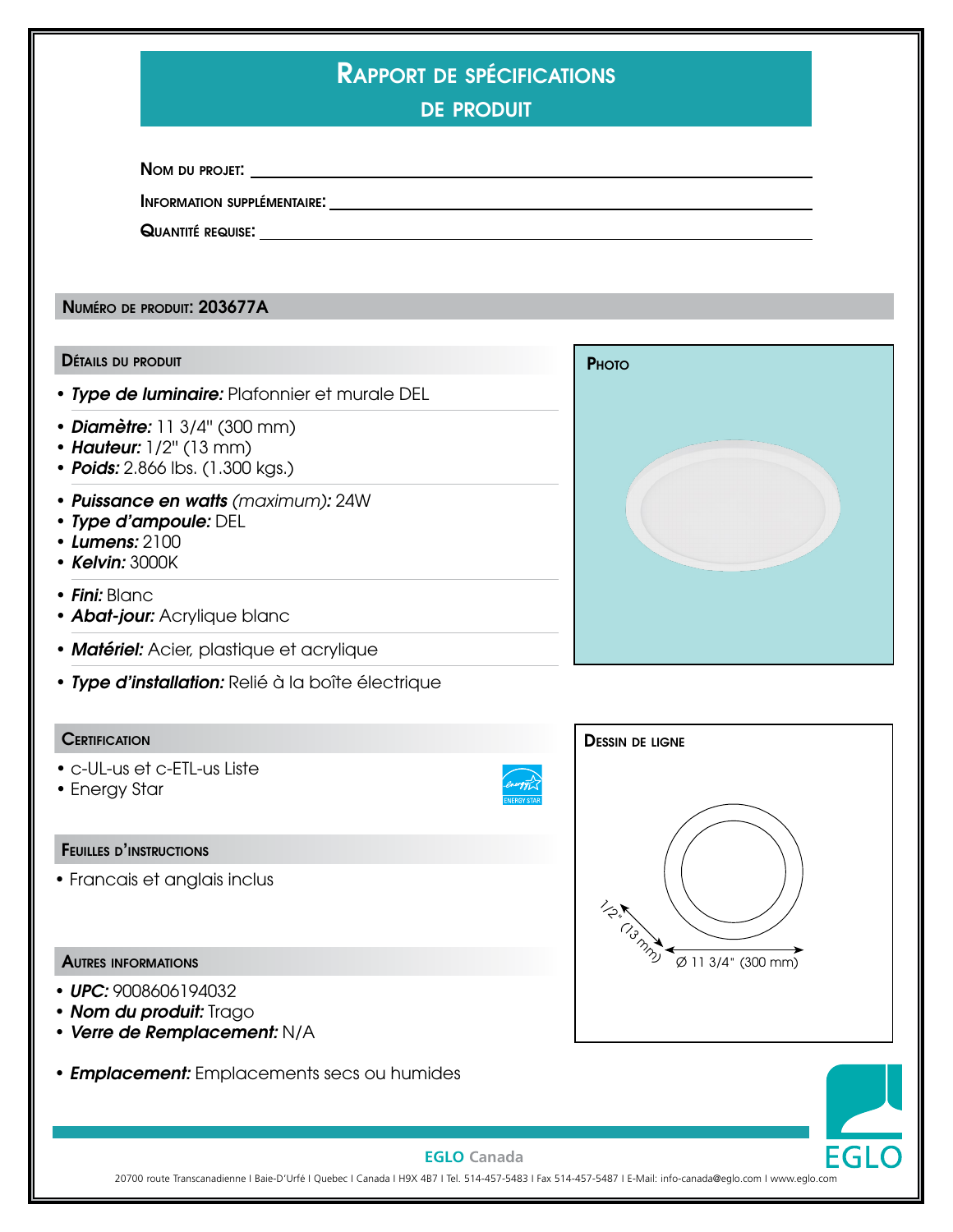| <b>RAPPORT DE SPÉCIFICATIONS</b> |  |
|----------------------------------|--|
|                                  |  |
|                                  |  |

de produit

Nom du projet:

Information supplémentaire:

Quantité requise:

Numéro de produit: 203677A

#### Détails du produit

- *Type de luminaire:* Plafonnier et murale DEL
- *Diamètre:* 11 3/4'' (300 mm)
- *Hauteur:* 1/2'' (13 mm)
- *Poids:* 2.866 lbs. (1.300 kgs.)
- *Puissance en watts (maximum):* 24W
- *Type d'ampoule:* DEL
- *Lumens:* 2100
- *Kelvin:* 3000K
- *Fini:* Blanc
- *Abat-jour:* Acrylique blanc
- *Matériel:* Acier, plastique et acrylique
- *Type d'installation:* Relié à la boîte électrique

#### **CERTIFICATION**

- c-UL-us et c-ETL-us Liste
- Energy Star

#### Feuilles d'instructions

• Francais et anglais inclus

#### Autres informations

- *UPC:* 9008606194032
- *Nom du produit:* Trago
- *Verre de Remplacement:* N/A
- *Emplacement:* Emplacements secs ou humides





## **EGLO Canada**

20700 route Transcanadienne I Baie-D'Urfé I Quebec I Canada I H9X 4B7 I Tel. 514-457-5483 I Fax 514-457-5487 I E-Mail: info-canada@eglo.com I www.eglo.com